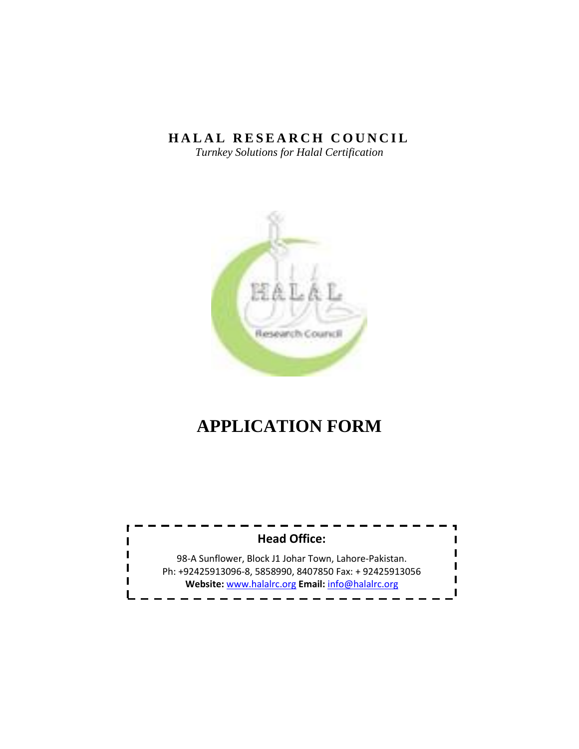# **HALAL RESEARCH COUNCIL**

*Turnkey Solutions for Halal Certification*



# **APPLICATION FORM**

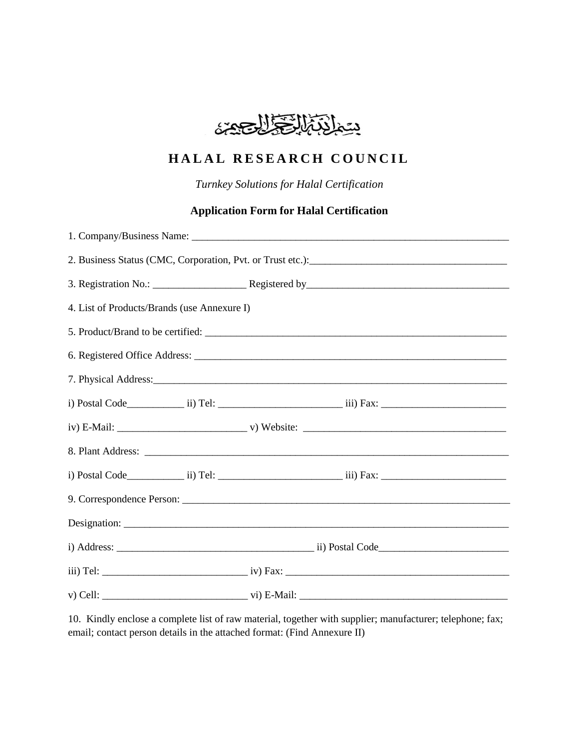

# **HALAL RESEARCH COUNCIL**

*Turnkey Solutions for Halal Certification*

# **Application Form for Halal Certification**

| 4. List of Products/Brands (use Annexure I)                                                                                                                                                                                          |  |  |  |  |
|--------------------------------------------------------------------------------------------------------------------------------------------------------------------------------------------------------------------------------------|--|--|--|--|
|                                                                                                                                                                                                                                      |  |  |  |  |
|                                                                                                                                                                                                                                      |  |  |  |  |
| 7. Physical Address: <u>example and the set of the set of the set of the set of the set of the set of the set of the set of the set of the set of the set of the set of the set of the set of the set of the set of the set of t</u> |  |  |  |  |
|                                                                                                                                                                                                                                      |  |  |  |  |
|                                                                                                                                                                                                                                      |  |  |  |  |
|                                                                                                                                                                                                                                      |  |  |  |  |
|                                                                                                                                                                                                                                      |  |  |  |  |
|                                                                                                                                                                                                                                      |  |  |  |  |
|                                                                                                                                                                                                                                      |  |  |  |  |
|                                                                                                                                                                                                                                      |  |  |  |  |
|                                                                                                                                                                                                                                      |  |  |  |  |
|                                                                                                                                                                                                                                      |  |  |  |  |

10. Kindly enclose a complete list of raw material, together with supplier; manufacturer; telephone; fax; email; contact person details in the attached format: (Find Annexure II)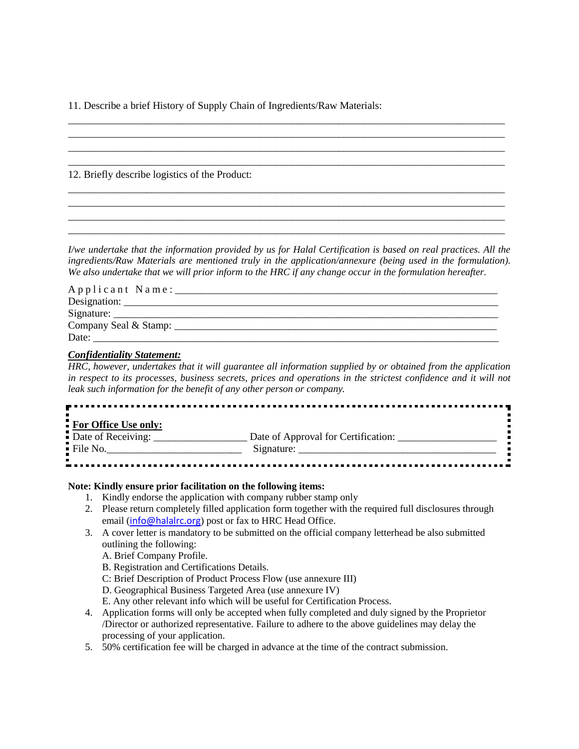11. Describe a brief History of Supply Chain of Ingredients/Raw Materials:

12. Briefly describe logistics of the Product:

*I/we undertake that the information provided by us for Halal Certification is based on real practices. All the ingredients/Raw Materials are mentioned truly in the application/annexure (being used in the formulation). We also undertake that we will prior inform to the HRC if any change occur in the formulation hereafter.* 

\_\_\_\_\_\_\_\_\_\_\_\_\_\_\_\_\_\_\_\_\_\_\_\_\_\_\_\_\_\_\_\_\_\_\_\_\_\_\_\_\_\_\_\_\_\_\_\_\_\_\_\_\_\_\_\_\_\_\_\_\_\_\_\_\_\_\_\_\_\_\_\_\_\_\_\_\_\_\_\_\_\_\_\_ \_\_\_\_\_\_\_\_\_\_\_\_\_\_\_\_\_\_\_\_\_\_\_\_\_\_\_\_\_\_\_\_\_\_\_\_\_\_\_\_\_\_\_\_\_\_\_\_\_\_\_\_\_\_\_\_\_\_\_\_\_\_\_\_\_\_\_\_\_\_\_\_\_\_\_\_\_\_\_\_\_\_\_\_ \_\_\_\_\_\_\_\_\_\_\_\_\_\_\_\_\_\_\_\_\_\_\_\_\_\_\_\_\_\_\_\_\_\_\_\_\_\_\_\_\_\_\_\_\_\_\_\_\_\_\_\_\_\_\_\_\_\_\_\_\_\_\_\_\_\_\_\_\_\_\_\_\_\_\_\_\_\_\_\_\_\_\_\_ \_\_\_\_\_\_\_\_\_\_\_\_\_\_\_\_\_\_\_\_\_\_\_\_\_\_\_\_\_\_\_\_\_\_\_\_\_\_\_\_\_\_\_\_\_\_\_\_\_\_\_\_\_\_\_\_\_\_\_\_\_\_\_\_\_\_\_\_\_\_\_\_\_\_\_\_\_\_\_\_\_\_\_\_

\_\_\_\_\_\_\_\_\_\_\_\_\_\_\_\_\_\_\_\_\_\_\_\_\_\_\_\_\_\_\_\_\_\_\_\_\_\_\_\_\_\_\_\_\_\_\_\_\_\_\_\_\_\_\_\_\_\_\_\_\_\_\_\_\_\_\_\_\_\_\_\_\_\_\_\_\_\_\_\_\_\_\_\_ \_\_\_\_\_\_\_\_\_\_\_\_\_\_\_\_\_\_\_\_\_\_\_\_\_\_\_\_\_\_\_\_\_\_\_\_\_\_\_\_\_\_\_\_\_\_\_\_\_\_\_\_\_\_\_\_\_\_\_\_\_\_\_\_\_\_\_\_\_\_\_\_\_\_\_\_\_\_\_\_\_\_\_\_ \_\_\_\_\_\_\_\_\_\_\_\_\_\_\_\_\_\_\_\_\_\_\_\_\_\_\_\_\_\_\_\_\_\_\_\_\_\_\_\_\_\_\_\_\_\_\_\_\_\_\_\_\_\_\_\_\_\_\_\_\_\_\_\_\_\_\_\_\_\_\_\_\_\_\_\_\_\_\_\_\_\_\_\_ \_\_\_\_\_\_\_\_\_\_\_\_\_\_\_\_\_\_\_\_\_\_\_\_\_\_\_\_\_\_\_\_\_\_\_\_\_\_\_\_\_\_\_\_\_\_\_\_\_\_\_\_\_\_\_\_\_\_\_\_\_\_\_\_\_\_\_\_\_\_\_\_\_\_\_\_\_\_\_\_\_\_\_\_

| Applicant Name: |
|-----------------|
|                 |
| Signature:      |
|                 |
| Date:           |

#### *Confidentiality Statement:*

*HRC, however, undertakes that it will guarantee all information supplied by or obtained from the application in respect to its processes, business secrets, prices and operations in the strictest confidence and it will not leak such information for the benefit of any other person or company.*

| For Office Use only:    |                                     |
|-------------------------|-------------------------------------|
| Date of Receiving:      | Date of Approval for Certification: |
| $\blacksquare$ File No. | Signature:                          |
|                         |                                     |

#### **Note: Kindly ensure prior facilitation on the following items:**

- 1. Kindly endorse the application with company rubber stamp only
- 2. Please return completely filled application form together with the required full disclosures through email ([info@halalrc.org](mailto:info@halalrc.org)) post or fax to HRC Head Office.
- 3. A cover letter is mandatory to be submitted on the official company letterhead be also submitted outlining the following:

A. Brief Company Profile.

- B. Registration and Certifications Details.
- C: Brief Description of Product Process Flow (use annexure III)
- D. Geographical Business Targeted Area (use annexure IV)
- E. Any other relevant info which will be useful for Certification Process.
- 4. Application forms will only be accepted when fully completed and duly signed by the Proprietor /Director or authorized representative. Failure to adhere to the above guidelines may delay the processing of your application.
- 5. 50% certification fee will be charged in advance at the time of the contract submission.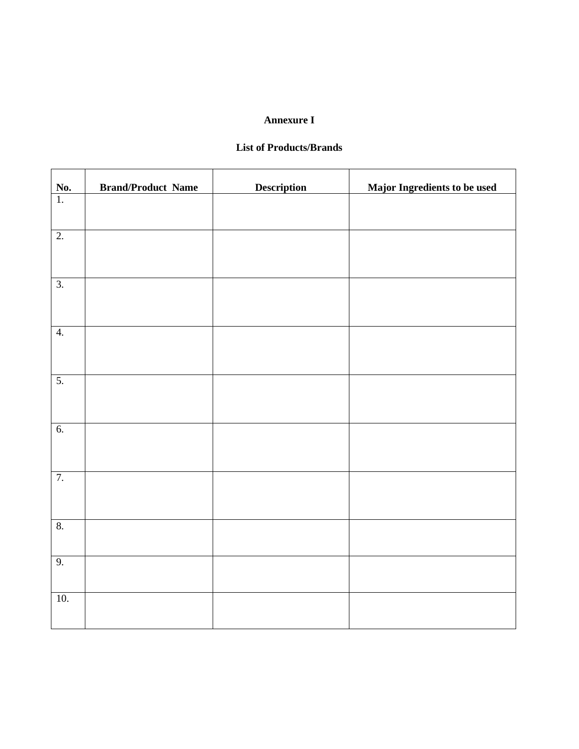### **Annexure I**

# **List of Products/Brands**

| <u>No.</u>        | <b>Brand/Product Name</b> | <b>Description</b> | <b>Major Ingredients to be used</b> |
|-------------------|---------------------------|--------------------|-------------------------------------|
| $\overline{1}$ .  |                           |                    |                                     |
| $\overline{2}$ .  |                           |                    |                                     |
| $\overline{3}$ .  |                           |                    |                                     |
| $\overline{4}$ .  |                           |                    |                                     |
| $\overline{5}$ .  |                           |                    |                                     |
| 6.                |                           |                    |                                     |
| 7.                |                           |                    |                                     |
| 8.                |                           |                    |                                     |
| 9.                |                           |                    |                                     |
| $\overline{10}$ . |                           |                    |                                     |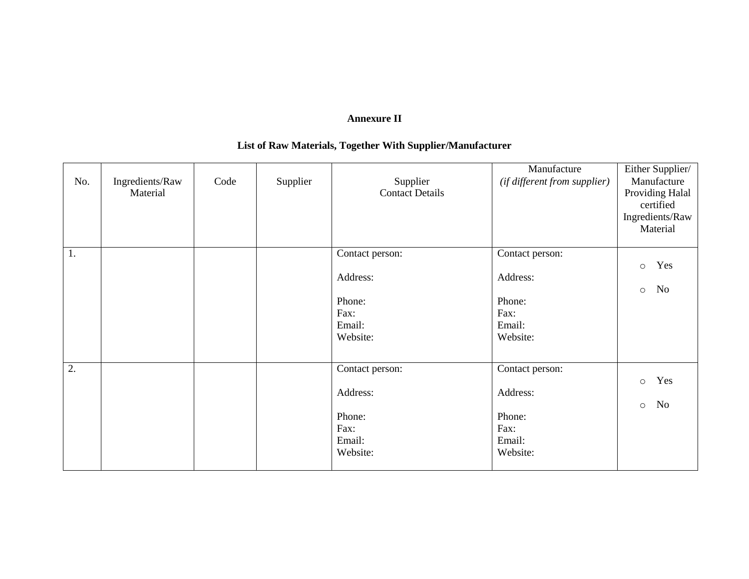# **Annexure II**

# **List of Raw Materials, Together With Supplier/Manufacturer**

| No. | Ingredients/Raw<br>Material | Code | Supplier | Supplier<br><b>Contact Details</b> | Manufacture<br>(if different from supplier) | Either Supplier/<br>Manufacture<br>Providing Halal<br>certified<br>Ingredients/Raw<br>Material |
|-----|-----------------------------|------|----------|------------------------------------|---------------------------------------------|------------------------------------------------------------------------------------------------|
| 1.  |                             |      |          | Contact person:                    | Contact person:                             |                                                                                                |
|     |                             |      |          |                                    |                                             | Yes<br>$\circ$                                                                                 |
|     |                             |      |          | Address:                           | Address:                                    |                                                                                                |
|     |                             |      |          |                                    | Phone:                                      | No<br>$\circ$                                                                                  |
|     |                             |      |          | Phone:<br>Fax:                     | Fax:                                        |                                                                                                |
|     |                             |      |          | Email:                             | Email:                                      |                                                                                                |
|     |                             |      |          | Website:                           | Website:                                    |                                                                                                |
|     |                             |      |          |                                    |                                             |                                                                                                |
| 2.  |                             |      |          | Contact person:                    | Contact person:                             |                                                                                                |
|     |                             |      |          |                                    |                                             | Yes<br>$\circ$                                                                                 |
|     |                             |      |          | Address:                           | Address:                                    |                                                                                                |
|     |                             |      |          |                                    |                                             | No<br>$\circ$                                                                                  |
|     |                             |      |          | Phone:                             | Phone:                                      |                                                                                                |
|     |                             |      |          | Fax:                               | Fax:                                        |                                                                                                |
|     |                             |      |          | Email:                             | Email:                                      |                                                                                                |
|     |                             |      |          | Website:                           | Website:                                    |                                                                                                |
|     |                             |      |          |                                    |                                             |                                                                                                |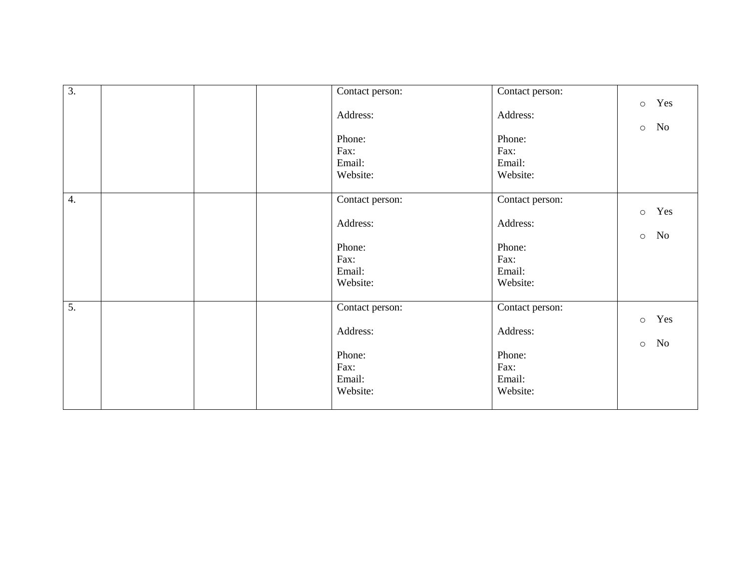| $\overline{3}$ . | Contact person: | Contact person: |         |           |
|------------------|-----------------|-----------------|---------|-----------|
|                  |                 |                 | $\circ$ | Yes       |
|                  | Address:        | Address:        |         |           |
|                  |                 |                 | $\circ$ | No        |
|                  | Phone:          | Phone:          |         |           |
|                  | Fax:            | Fax:            |         |           |
|                  | Email:          | Email:          |         |           |
|                  | Website:        | Website:        |         |           |
|                  |                 |                 |         |           |
| $\overline{4}$ . | Contact person: | Contact person: |         |           |
|                  |                 |                 | $\circ$ | Yes       |
|                  | Address:        | Address:        |         |           |
|                  |                 |                 | $\circ$ | <b>No</b> |
|                  | Phone:          | Phone:          |         |           |
|                  | Fax:            | Fax:            |         |           |
|                  | Email:          | Email:          |         |           |
|                  | Website:        | Website:        |         |           |
|                  |                 |                 |         |           |
| $\overline{5}$ . | Contact person: | Contact person: |         |           |
|                  |                 |                 | $\circ$ | Yes       |
|                  | Address:        | Address:        |         |           |
|                  |                 |                 | $\circ$ | <b>No</b> |
|                  | Phone:          | Phone:          |         |           |
|                  | Fax:            | Fax:            |         |           |
|                  | Email:          | Email:          |         |           |
|                  | Website:        | Website:        |         |           |
|                  |                 |                 |         |           |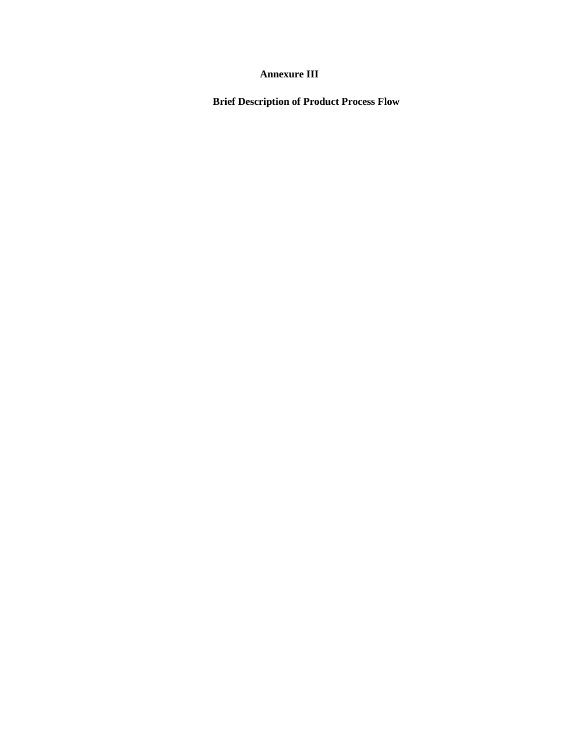# **Annexure III**

**Brief Description of Product Process Flow**